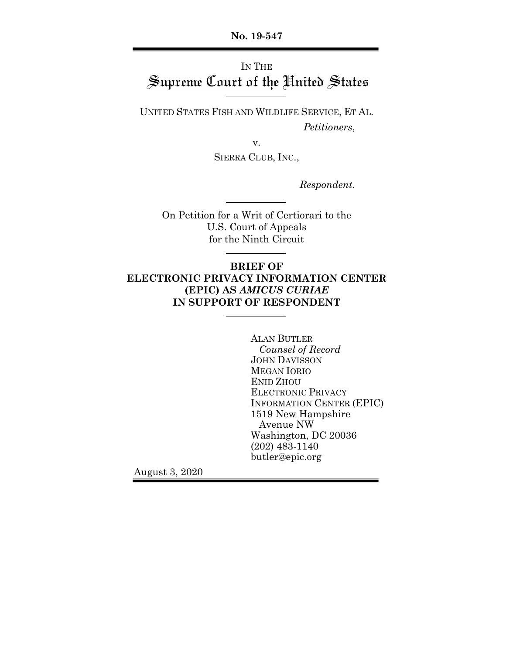**No. 19-547**

# IN THE Supreme Court of the United States

UNITED STATES FISH AND WILDLIFE SERVICE, ET AL. *Petitioners*,

v.

SIERRA CLUB, INC.,

*Respondent.*

On Petition for a Writ of Certiorari to the U.S. Court of Appeals for the Ninth Circuit

## **BRIEF OF ELECTRONIC PRIVACY INFORMATION CENTER (EPIC) AS** *AMICUS CURIAE* **IN SUPPORT OF RESPONDENT**

ALAN BUTLER *Counsel of Record* JOHN DAVISSON MEGAN IORIO ENID ZHOU ELECTRONIC PRIVACY INFORMATION CENTER (EPIC) 1519 New Hampshire Avenue NW Washington, DC 20036 (202) 483-1140 butler@epic.org

August 3, 2020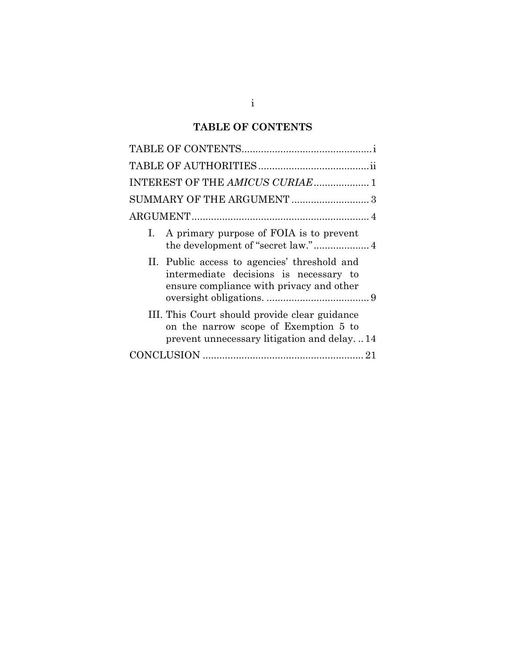## **TABLE OF CONTENTS**

| INTEREST OF THE AMICUS CURIAE 1                                                                                                      |
|--------------------------------------------------------------------------------------------------------------------------------------|
|                                                                                                                                      |
|                                                                                                                                      |
| A primary purpose of FOIA is to prevent<br>I.<br>the development of "secret law." 4                                                  |
| II. Public access to agencies' threshold and<br>intermediate decisions is necessary to<br>ensure compliance with privacy and other   |
| III. This Court should provide clear guidance<br>on the narrow scope of Exemption 5 to<br>prevent unnecessary litigation and delay14 |
|                                                                                                                                      |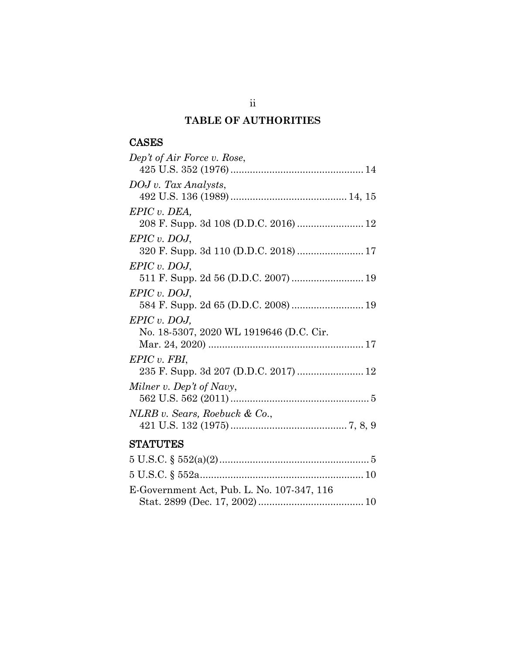## **TABLE OF AUTHORITIES**

## CASES

| Dep't of Air Force v. Rose,                                                                                 |
|-------------------------------------------------------------------------------------------------------------|
| DOJ v. Tax Analysts,                                                                                        |
| EPIC v. DEA,<br>208 F. Supp. 3d 108 (D.D.C. 2016)  12                                                       |
| $EPIC$ v. DOJ,                                                                                              |
| $EPIC$ v. DOJ,                                                                                              |
| $EPIC$ v. DOJ,                                                                                              |
| $EPIC$ v. DOJ,<br>No. 18-5307, 2020 WL 1919646 (D.C. Cir.                                                   |
| $EPIC$ v. FBI,<br>235 F. Supp. 3d 207 (D.D.C. 2017)  12                                                     |
| Milner v. Dep't of Navy,                                                                                    |
| NLRB v. Sears, Roebuck & Co.,                                                                               |
| <b>STATUTES</b>                                                                                             |
| $\blacktriangleright$ TT $\cap$ $\cap$ $\circ$ $\blacktriangleright$ $\land$ $\cap$ $\land$ $\land$ $\land$ |

| E-Government Act, Pub. L. No. 107-347, 116 |  |
|--------------------------------------------|--|
|                                            |  |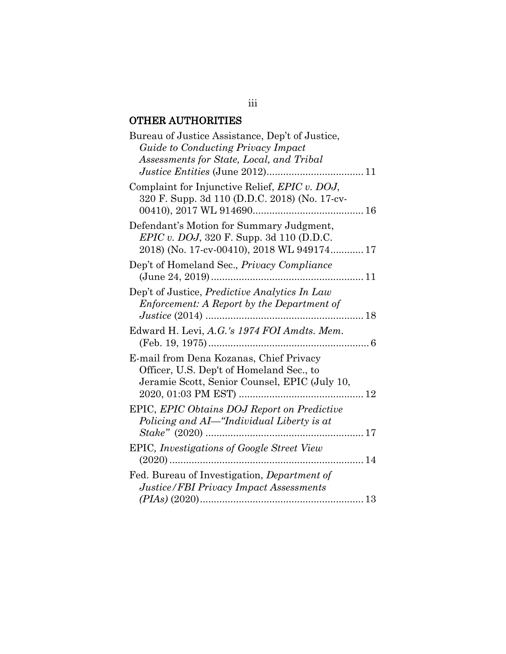## OTHER AUTHORITIES

| Bureau of Justice Assistance, Dep't of Justice,<br>Guide to Conducting Privacy Impact                                                      |
|--------------------------------------------------------------------------------------------------------------------------------------------|
| Assessments for State, Local, and Tribal                                                                                                   |
| Complaint for Injunctive Relief, <i>EPIC v. DOJ</i> ,<br>320 F. Supp. 3d 110 (D.D.C. 2018) (No. 17-cv-                                     |
| Defendant's Motion for Summary Judgment,<br><i>EPIC v. DOJ</i> , 320 F. Supp. 3d 110 (D.D.C.<br>2018) (No. 17-cv-00410), 2018 WL 949174 17 |
| Dep't of Homeland Sec., Privacy Compliance                                                                                                 |
| Dep't of Justice, Predictive Analytics In Law<br>Enforcement: A Report by the Department of                                                |
| Edward H. Levi, A.G.'s 1974 FOI Amdts. Mem.                                                                                                |
| E-mail from Dena Kozanas, Chief Privacy<br>Officer, U.S. Dep't of Homeland Sec., to<br>Jeramie Scott, Senior Counsel, EPIC (July 10,<br>12 |
| EPIC, EPIC Obtains DOJ Report on Predictive<br>Policing and Al-"Individual Liberty is at<br>$Stake'' (2020) \dots$<br>. 17                 |
| EPIC, Investigations of Google Street View                                                                                                 |
| Fed. Bureau of Investigation, <i>Department of</i><br><b>Justice/FBI Privacy Impact Assessments</b>                                        |

## iii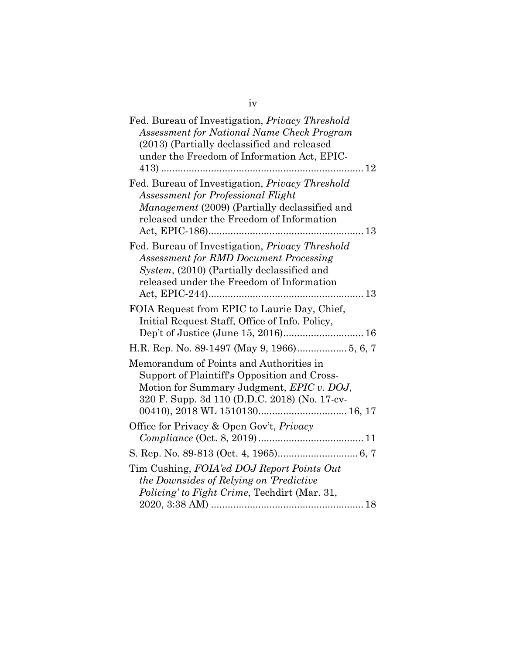iv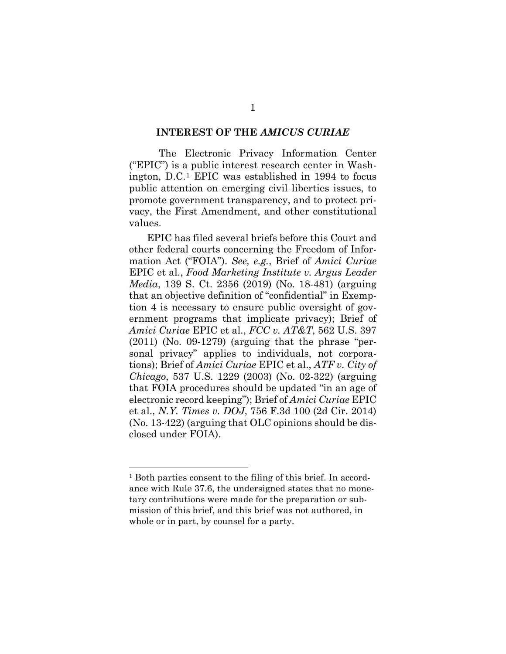#### **INTEREST OF THE** *AMICUS CURIAE*

The Electronic Privacy Information Center ("EPIC") is a public interest research center in Washington, D.C.[1](#page-5-0) EPIC was established in 1994 to focus public attention on emerging civil liberties issues, to promote government transparency, and to protect privacy, the First Amendment, and other constitutional values.

EPIC has filed several briefs before this Court and other federal courts concerning the Freedom of Information Act ("FOIA"). *See, e.g.*, Brief of *Amici Curiae*  EPIC et al., *Food Marketing Institute v. Argus Leader Media*, 139 S. Ct. 2356 (2019) (No. 18-481) (arguing that an objective definition of "confidential" in Exemption 4 is necessary to ensure public oversight of government programs that implicate privacy); Brief of *Amici Curiae* EPIC et al., *FCC v. AT&T*, 562 U.S. 397  $(2011)$  (No. 09-1279) (arguing that the phrase "personal privacy" applies to individuals, not corporations); Brief of *Amici Curiae* EPIC et al., *ATF v. City of Chicago*, 537 U.S. 1229 (2003) (No. 02-322) (arguing that FOIA procedures should be updated "in an age of electronic record keeping"); Brief of *Amici Curiae* EPIC et al., *N.Y. Times v. DOJ*, 756 F.3d 100 (2d Cir. 2014) (No. 13-422) (arguing that OLC opinions should be disclosed under FOIA).

<span id="page-5-0"></span><sup>1</sup> Both parties consent to the filing of this brief. In accordance with Rule 37.6, the undersigned states that no monetary contributions were made for the preparation or submission of this brief, and this brief was not authored, in whole or in part, by counsel for a party.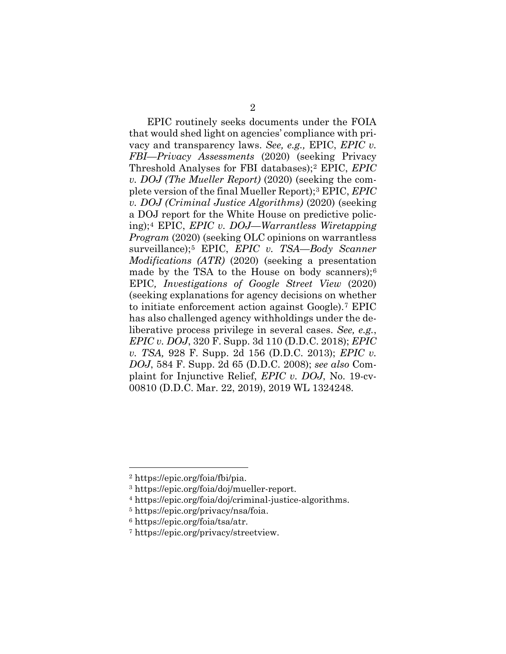EPIC routinely seeks documents under the FOIA that would shed light on agencies' compliance with privacy and transparency laws. *See, e.g.,* EPIC, *EPIC v. FBI—Privacy Assessments* (2020) (seeking Privacy Threshold Analyses for FBI databases);[2](#page-6-0) EPIC, *EPIC v. DOJ (The Mueller Report)* (2020) (seeking the complete version of the final Mueller Report);[3](#page-6-1) EPIC, *EPIC v. DOJ (Criminal Justice Algorithms)* (2020) (seeking a DOJ report for the White House on predictive policing);[4](#page-6-2) EPIC, *EPIC v. DOJ—Warrantless Wiretapping Program (2020)* (seeking OLC opinions on warrantless surveillance);[5](#page-6-3) EPIC, *EPIC v. TSA—Body Scanner Modifications (ATR)* (2020) (seeking a presentation made by the TSA to the House on body scanners); $6$ EPIC*, Investigations of Google Street View* (2020) (seeking explanations for agency decisions on whether to initiate enforcement action against Google).[7](#page-6-5) EPIC has also challenged agency withholdings under the deliberative process privilege in several cases. *See, e.g.*, *EPIC v. DOJ*, 320 F. Supp. 3d 110 (D.D.C. 2018); *EPIC v. TSA,* 928 F. Supp. 2d 156 (D.D.C. 2013); *EPIC v. DOJ*, 584 F. Supp. 2d 65 (D.D.C. 2008); *see also* Complaint for Injunctive Relief, *EPIC v. DOJ*, No. 19-cv-00810 (D.D.C. Mar. 22, 2019), 2019 WL 1324248.

<span id="page-6-0"></span><sup>2</sup> https://epic.org/foia/fbi/pia.

<span id="page-6-1"></span><sup>3</sup> https://epic.org/foia/doj/mueller-report.

<span id="page-6-3"></span><span id="page-6-2"></span><sup>4</sup> https://epic.org/foia/doj/criminal-justice-algorithms. 5 https://epic.org/privacy/nsa/foia.

<span id="page-6-4"></span><sup>6</sup> https://epic.org/foia/tsa/atr.

<span id="page-6-5"></span><sup>7</sup> https://epic.org/privacy/streetview.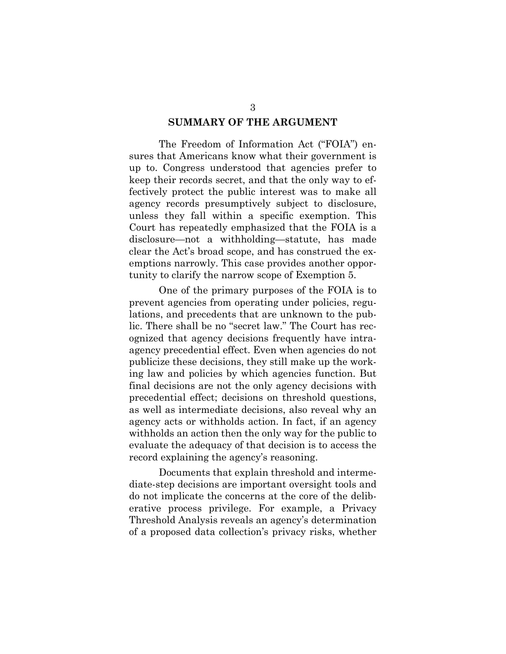#### **SUMMARY OF THE ARGUMENT**

The Freedom of Information Act ("FOIA") ensures that Americans know what their government is up to. Congress understood that agencies prefer to keep their records secret, and that the only way to effectively protect the public interest was to make all agency records presumptively subject to disclosure, unless they fall within a specific exemption. This Court has repeatedly emphasized that the FOIA is a disclosure—not a withholding—statute, has made clear the Act's broad scope, and has construed the exemptions narrowly. This case provides another opportunity to clarify the narrow scope of Exemption 5.

One of the primary purposes of the FOIA is to prevent agencies from operating under policies, regulations, and precedents that are unknown to the public. There shall be no "secret law." The Court has recognized that agency decisions frequently have intraagency precedential effect. Even when agencies do not publicize these decisions, they still make up the working law and policies by which agencies function. But final decisions are not the only agency decisions with precedential effect; decisions on threshold questions, as well as intermediate decisions, also reveal why an agency acts or withholds action. In fact, if an agency withholds an action then the only way for the public to evaluate the adequacy of that decision is to access the record explaining the agency's reasoning.

Documents that explain threshold and intermediate-step decisions are important oversight tools and do not implicate the concerns at the core of the deliberative process privilege. For example, a Privacy Threshold Analysis reveals an agency's determination of a proposed data collection's privacy risks, whether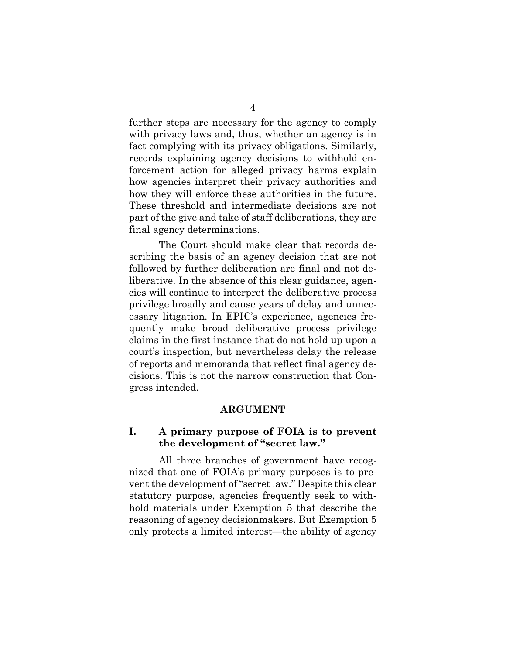further steps are necessary for the agency to comply with privacy laws and, thus, whether an agency is in fact complying with its privacy obligations. Similarly, records explaining agency decisions to withhold enforcement action for alleged privacy harms explain how agencies interpret their privacy authorities and how they will enforce these authorities in the future. These threshold and intermediate decisions are not part of the give and take of staff deliberations, they are final agency determinations.

The Court should make clear that records describing the basis of an agency decision that are not followed by further deliberation are final and not deliberative. In the absence of this clear guidance, agencies will continue to interpret the deliberative process privilege broadly and cause years of delay and unnecessary litigation. In EPIC's experience, agencies frequently make broad deliberative process privilege claims in the first instance that do not hold up upon a court's inspection, but nevertheless delay the release of reports and memoranda that reflect final agency decisions. This is not the narrow construction that Congress intended.

#### **ARGUMENT**

### **I. A primary purpose of FOIA is to prevent the development of "secret law."**

All three branches of government have recognized that one of FOIA's primary purposes is to prevent the development of "secret law." Despite this clear statutory purpose, agencies frequently seek to withhold materials under Exemption 5 that describe the reasoning of agency decisionmakers. But Exemption 5 only protects a limited interest—the ability of agency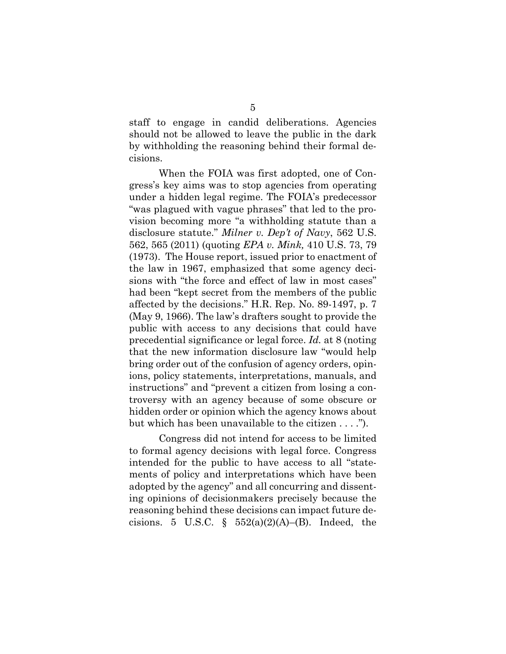staff to engage in candid deliberations. Agencies should not be allowed to leave the public in the dark by withholding the reasoning behind their formal decisions.

When the FOIA was first adopted, one of Congress's key aims was to stop agencies from operating under a hidden legal regime. The FOIA's predecessor "was plagued with vague phrases" that led to the provision becoming more "a withholding statute than a disclosure statute." *Milner v. Dep't of Navy*, 562 U.S. 562, 565 (2011) (quoting *EPA v. Mink,* 410 U.S. 73, 79 (1973). The House report, issued prior to enactment of the law in 1967, emphasized that some agency decisions with "the force and effect of law in most cases" had been "kept secret from the members of the public affected by the decisions." H.R. Rep. No. 89-1497, p. 7 (May 9, 1966). The law's drafters sought to provide the public with access to any decisions that could have precedential significance or legal force. *Id.* at 8 (noting that the new information disclosure law "would help bring order out of the confusion of agency orders, opinions, policy statements, interpretations, manuals, and instructions" and "prevent a citizen from losing a controversy with an agency because of some obscure or hidden order or opinion which the agency knows about but which has been unavailable to the citizen . . . .").

Congress did not intend for access to be limited to formal agency decisions with legal force. Congress intended for the public to have access to all "statements of policy and interpretations which have been adopted by the agency" and all concurring and dissenting opinions of decisionmakers precisely because the reasoning behind these decisions can impact future decisions. 5 U.S.C.  $\S$  552(a)(2)(A)–(B). Indeed, the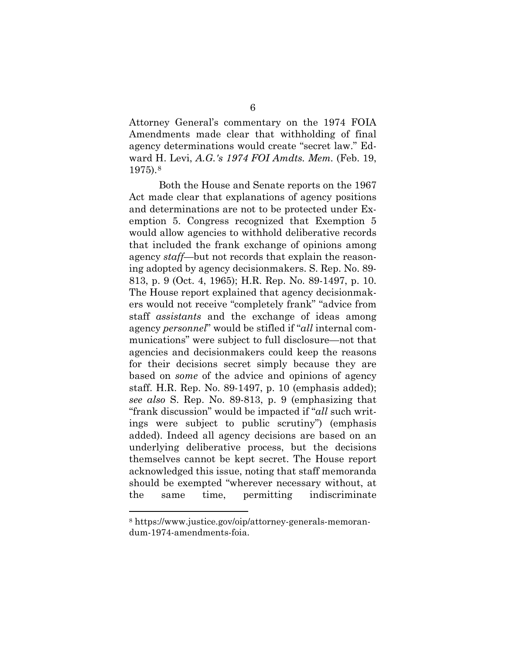Attorney General's commentary on the 1974 FOIA Amendments made clear that withholding of final agency determinations would create "secret law." Edward H. Levi, *A.G.'s 1974 FOI Amdts. Mem.* (Feb. 19, 1975).[8](#page-10-0)

Both the House and Senate reports on the 1967 Act made clear that explanations of agency positions and determinations are not to be protected under Exemption 5. Congress recognized that Exemption 5 would allow agencies to withhold deliberative records that included the frank exchange of opinions among agency *staff*—but not records that explain the reasoning adopted by agency decisionmakers. S. Rep. No. 89- 813, p. 9 (Oct. 4, 1965); H.R. Rep. No. 89-1497, p. 10. The House report explained that agency decisionmakers would not receive "completely frank" "advice from staff *assistants* and the exchange of ideas among agency *personnel*" would be stifled if "*all* internal communications" were subject to full disclosure—not that agencies and decisionmakers could keep the reasons for their decisions secret simply because they are based on *some* of the advice and opinions of agency staff. H.R. Rep. No. 89-1497, p. 10 (emphasis added); *see also* S. Rep. No. 89-813, p. 9 (emphasizing that "frank discussion" would be impacted if "*all* such writings were subject to public scrutiny") (emphasis added). Indeed all agency decisions are based on an underlying deliberative process, but the decisions themselves cannot be kept secret. The House report acknowledged this issue, noting that staff memoranda should be exempted "wherever necessary without, at the same time, permitting indiscriminate

<span id="page-10-0"></span><sup>8</sup> https://www.justice.gov/oip/attorney-generals-memorandum-1974-amendments-foia.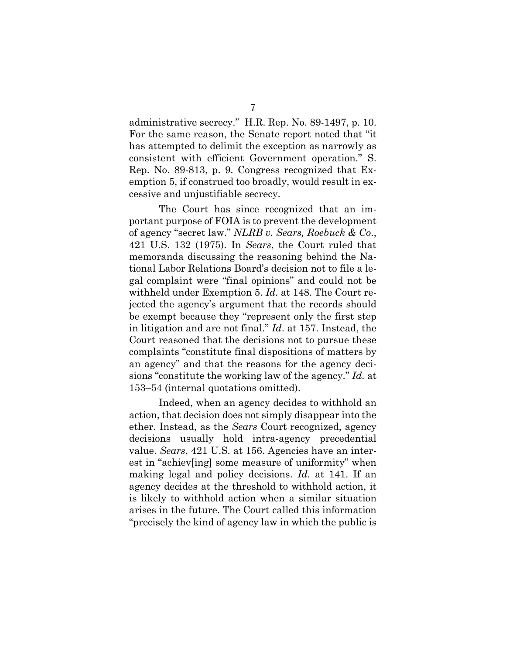administrative secrecy." H.R. Rep. No. 89-1497, p. 10. For the same reason, the Senate report noted that "it has attempted to delimit the exception as narrowly as consistent with efficient Government operation." S. Rep. No. 89-813, p. 9. Congress recognized that Exemption 5, if construed too broadly, would result in excessive and unjustifiable secrecy.

The Court has since recognized that an important purpose of FOIA is to prevent the development of agency "secret law." *NLRB v. Sears, Roebuck & Co*., 421 U.S. 132 (1975). In *Sears*, the Court ruled that memoranda discussing the reasoning behind the National Labor Relations Board's decision not to file a legal complaint were "final opinions" and could not be withheld under Exemption 5. *Id.* at 148. The Court rejected the agency's argument that the records should be exempt because they "represent only the first step in litigation and are not final." *Id*. at 157. Instead, the Court reasoned that the decisions not to pursue these complaints "constitute final dispositions of matters by an agency" and that the reasons for the agency decisions "constitute the working law of the agency." *Id.* at 153–54 (internal quotations omitted).

Indeed, when an agency decides to withhold an action, that decision does not simply disappear into the ether. Instead, as the *Sears* Court recognized, agency decisions usually hold intra-agency precedential value. *Sears*, 421 U.S. at 156. Agencies have an interest in "achiev[ing] some measure of uniformity" when making legal and policy decisions. *Id.* at 141. If an agency decides at the threshold to withhold action, it is likely to withhold action when a similar situation arises in the future. The Court called this information "precisely the kind of agency law in which the public is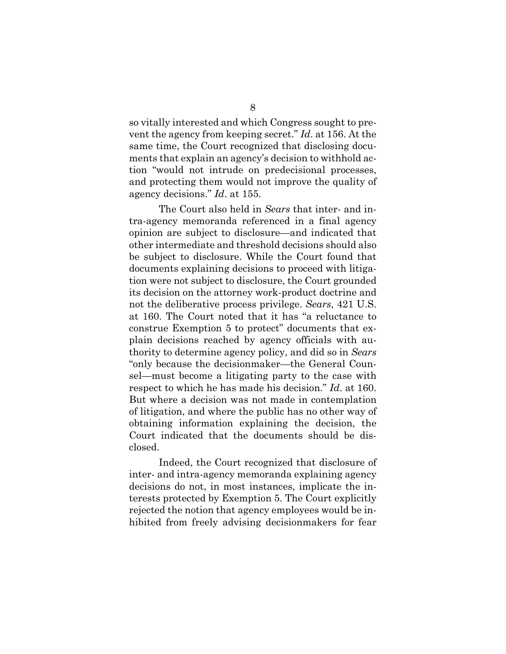so vitally interested and which Congress sought to prevent the agency from keeping secret." *Id*. at 156. At the same time, the Court recognized that disclosing documents that explain an agency's decision to withhold action "would not intrude on predecisional processes, and protecting them would not improve the quality of agency decisions." *Id*. at 155.

The Court also held in *Sears* that inter- and intra-agency memoranda referenced in a final agency opinion are subject to disclosure—and indicated that other intermediate and threshold decisions should also be subject to disclosure. While the Court found that documents explaining decisions to proceed with litigation were not subject to disclosure, the Court grounded its decision on the attorney work-product doctrine and not the deliberative process privilege. *Sears*, 421 U.S. at 160. The Court noted that it has "a reluctance to construe Exemption 5 to protect" documents that explain decisions reached by agency officials with authority to determine agency policy, and did so in *Sears* "only because the decisionmaker—the General Counsel—must become a litigating party to the case with respect to which he has made his decision." *Id*. at 160. But where a decision was not made in contemplation of litigation, and where the public has no other way of obtaining information explaining the decision, the Court indicated that the documents should be disclosed.

Indeed, the Court recognized that disclosure of inter- and intra-agency memoranda explaining agency decisions do not, in most instances, implicate the interests protected by Exemption 5. The Court explicitly rejected the notion that agency employees would be inhibited from freely advising decisionmakers for fear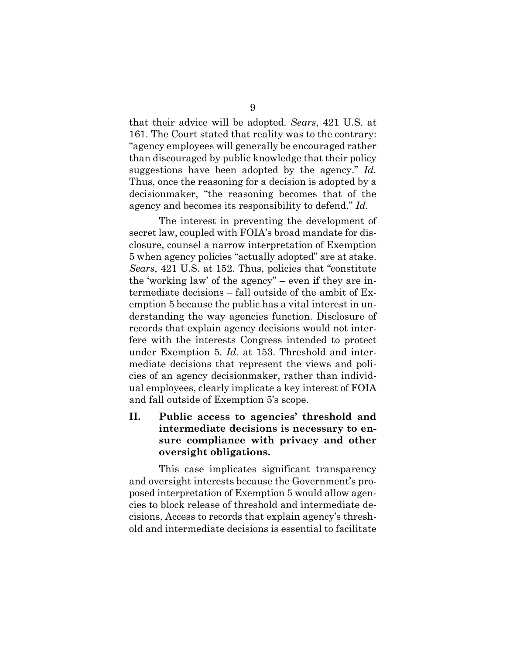that their advice will be adopted. *Sears*, 421 U.S. at 161. The Court stated that reality was to the contrary: "agency employees will generally be encouraged rather than discouraged by public knowledge that their policy suggestions have been adopted by the agency." *Id.* Thus, once the reasoning for a decision is adopted by a decisionmaker, "the reasoning becomes that of the agency and becomes its responsibility to defend." *Id.*

The interest in preventing the development of secret law, coupled with FOIA's broad mandate for disclosure, counsel a narrow interpretation of Exemption 5 when agency policies "actually adopted" are at stake. *Sears*, 421 U.S. at 152. Thus, policies that "constitute the 'working law' of the agency" – even if they are intermediate decisions – fall outside of the ambit of Exemption 5 because the public has a vital interest in understanding the way agencies function. Disclosure of records that explain agency decisions would not interfere with the interests Congress intended to protect under Exemption 5. *Id.* at 153. Threshold and intermediate decisions that represent the views and policies of an agency decisionmaker, rather than individual employees, clearly implicate a key interest of FOIA and fall outside of Exemption 5's scope.

## **II. Public access to agencies' threshold and intermediate decisions is necessary to ensure compliance with privacy and other oversight obligations.**

This case implicates significant transparency and oversight interests because the Government's proposed interpretation of Exemption 5 would allow agencies to block release of threshold and intermediate decisions. Access to records that explain agency's threshold and intermediate decisions is essential to facilitate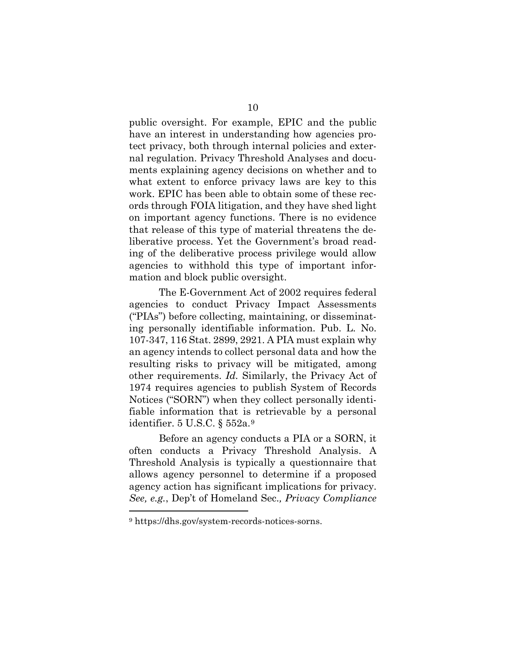public oversight. For example, EPIC and the public have an interest in understanding how agencies protect privacy, both through internal policies and external regulation. Privacy Threshold Analyses and documents explaining agency decisions on whether and to what extent to enforce privacy laws are key to this work. EPIC has been able to obtain some of these records through FOIA litigation, and they have shed light on important agency functions. There is no evidence that release of this type of material threatens the deliberative process. Yet the Government's broad reading of the deliberative process privilege would allow agencies to withhold this type of important information and block public oversight.

The E-Government Act of 2002 requires federal agencies to conduct Privacy Impact Assessments ("PIAs") before collecting, maintaining, or disseminating personally identifiable information. Pub. L. No. 107-347, 116 Stat. 2899, 2921. A PIA must explain why an agency intends to collect personal data and how the resulting risks to privacy will be mitigated, among other requirements. *Id.* Similarly, the Privacy Act of 1974 requires agencies to publish System of Records Notices ("SORN") when they collect personally identifiable information that is retrievable by a personal identifier. 5 U.S.C. § 552a.[9](#page-14-0)

Before an agency conducts a PIA or a SORN, it often conducts a Privacy Threshold Analysis. A Threshold Analysis is typically a questionnaire that allows agency personnel to determine if a proposed agency action has significant implications for privacy. *See, e.g.*, Dep't of Homeland Sec.*, Privacy Compliance*

<span id="page-14-0"></span><sup>9</sup> https://dhs.gov/system-records-notices-sorns.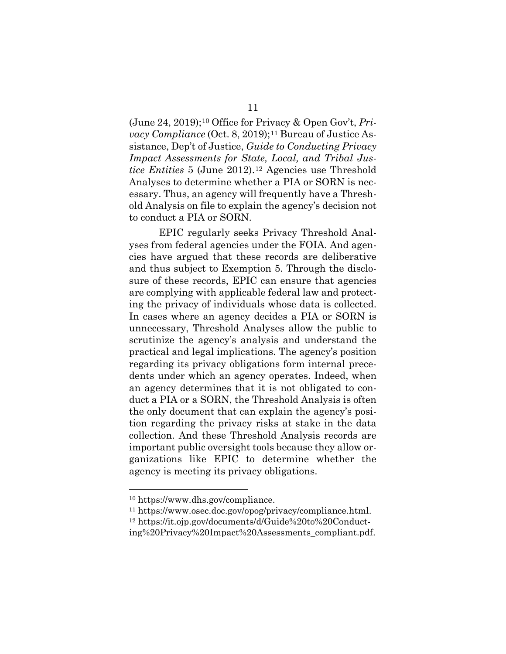(June 24, 2019);[10](#page-15-0) Office for Privacy & Open Gov't, *Privacy Compliance* (Oct. 8, 2019);<sup>[11](#page-15-1)</sup> Bureau of Justice Assistance, Dep't of Justice, *Guide to Conducting Privacy Impact Assessments for State, Local, and Tribal Justice Entities* 5 (June 2012).[12](#page-15-2) Agencies use Threshold Analyses to determine whether a PIA or SORN is necessary. Thus, an agency will frequently have a Threshold Analysis on file to explain the agency's decision not to conduct a PIA or SORN.

EPIC regularly seeks Privacy Threshold Analyses from federal agencies under the FOIA. And agencies have argued that these records are deliberative and thus subject to Exemption 5. Through the disclosure of these records, EPIC can ensure that agencies are complying with applicable federal law and protecting the privacy of individuals whose data is collected. In cases where an agency decides a PIA or SORN is unnecessary, Threshold Analyses allow the public to scrutinize the agency's analysis and understand the practical and legal implications. The agency's position regarding its privacy obligations form internal precedents under which an agency operates. Indeed, when an agency determines that it is not obligated to conduct a PIA or a SORN, the Threshold Analysis is often the only document that can explain the agency's position regarding the privacy risks at stake in the data collection. And these Threshold Analysis records are important public oversight tools because they allow organizations like EPIC to determine whether the agency is meeting its privacy obligations.

<sup>10</sup> https://www.dhs.gov/compliance.

<span id="page-15-1"></span><span id="page-15-0"></span><sup>11</sup> https://www.osec.doc.gov/opog/privacy/compliance.html.

<span id="page-15-2"></span><sup>12</sup> https://it.ojp.gov/documents/d/Guide%20to%20Conduct-

ing%20Privacy%20Impact%20Assessments\_compliant.pdf.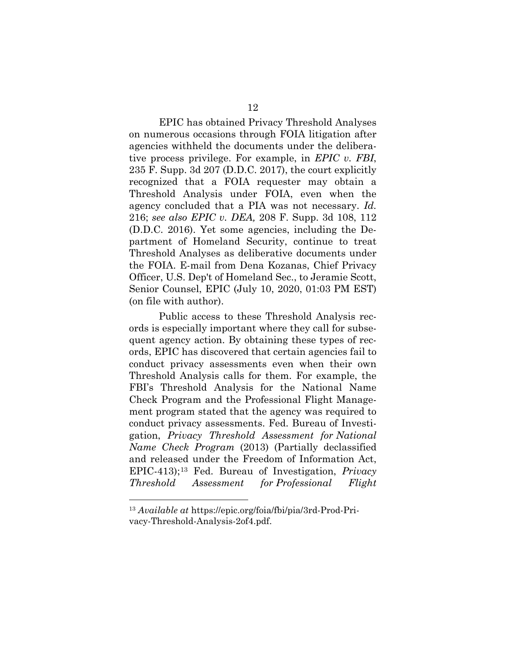EPIC has obtained Privacy Threshold Analyses on numerous occasions through FOIA litigation after agencies withheld the documents under the deliberative process privilege. For example, in *EPIC v. FBI*, 235 F. Supp. 3d 207 (D.D.C. 2017), the court explicitly recognized that a FOIA requester may obtain a Threshold Analysis under FOIA, even when the agency concluded that a PIA was not necessary. *Id.* 216; *see also EPIC v. DEA,* 208 F. Supp. 3d 108, 112 (D.D.C. 2016). Yet some agencies, including the Department of Homeland Security, continue to treat Threshold Analyses as deliberative documents under the FOIA. E-mail from Dena Kozanas, Chief Privacy Officer, U.S. Dep't of Homeland Sec., to Jeramie Scott, Senior Counsel, EPIC (July 10, 2020, 01:03 PM EST) (on file with author).

Public access to these Threshold Analysis records is especially important where they call for subsequent agency action. By obtaining these types of records, EPIC has discovered that certain agencies fail to conduct privacy assessments even when their own Threshold Analysis calls for them. For example, the FBI's Threshold Analysis for the National Name Check Program and the Professional Flight Management program stated that the agency was required to conduct privacy assessments. Fed. Bureau of Investigation, *Privacy Threshold Assessment for National Name Check Program* (2013) (Partially declassified and released under the Freedom of Information Act, EPIC-413);[13](#page-16-0) Fed. Bureau of Investigation, *Privacy Threshold Assessment for Professional Flight* 

<span id="page-16-0"></span><sup>13</sup> *Available at* https://epic.org/foia/fbi/pia/3rd-Prod-Privacy-Threshold-Analysis-2of4.pdf.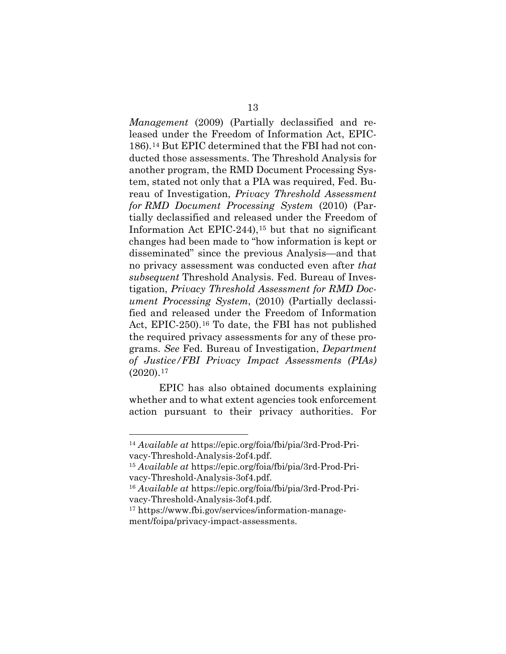*Management* (2009) (Partially declassified and released under the Freedom of Information Act, EPIC-186).[14](#page-17-0) But EPIC determined that the FBI had not conducted those assessments. The Threshold Analysis for another program, the RMD Document Processing System, stated not only that a PIA was required, Fed. Bureau of Investigation, *Privacy Threshold Assessment for RMD Document Processing System* (2010) (Partially declassified and released under the Freedom of Information Act EPIC-244),[15](#page-17-1) but that no significant changes had been made to "how information is kept or disseminated" since the previous Analysis—and that no privacy assessment was conducted even after *that subsequent* Threshold Analysis. Fed. Bureau of Investigation, *Privacy Threshold Assessment for RMD Document Processing System*, (2010) (Partially declassified and released under the Freedom of Information Act, EPIC-250).[16](#page-17-2) To date, the FBI has not published the required privacy assessments for any of these programs. *See* Fed. Bureau of Investigation, *Department of Justice/FBI Privacy Impact Assessments (PIAs)* (2020).[17](#page-17-3)

EPIC has also obtained documents explaining whether and to what extent agencies took enforcement action pursuant to their privacy authorities. For

<span id="page-17-0"></span><sup>14</sup> *Available at* https://epic.org/foia/fbi/pia/3rd-Prod-Privacy-Threshold-Analysis-2of4.pdf.

<span id="page-17-1"></span><sup>15</sup> *Available at* https://epic.org/foia/fbi/pia/3rd-Prod-Privacy-Threshold-Analysis-3of4.pdf.

<span id="page-17-2"></span><sup>16</sup> *Available at* https://epic.org/foia/fbi/pia/3rd-Prod-Privacy-Threshold-Analysis-3of4.pdf.

<span id="page-17-3"></span><sup>17</sup> https://www.fbi.gov/services/information-management/foipa/privacy-impact-assessments.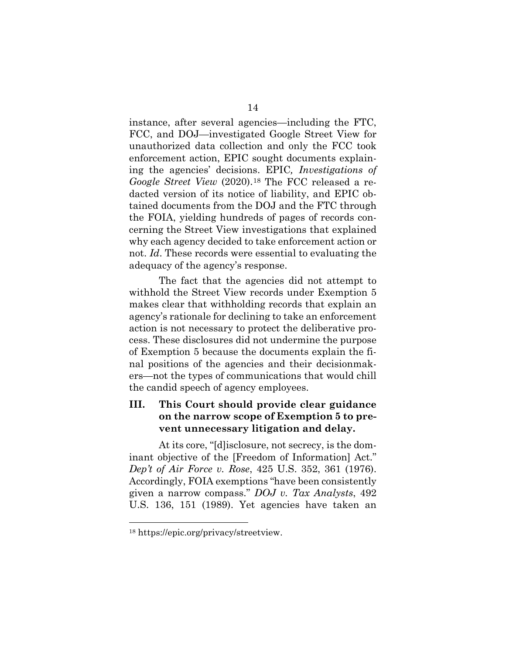instance, after several agencies—including the FTC, FCC, and DOJ—investigated Google Street View for unauthorized data collection and only the FCC took enforcement action, EPIC sought documents explaining the agencies' decisions. EPIC*, Investigations of Google Street View* (2020).[18](#page-18-0) The FCC released a redacted version of its notice of liability, and EPIC obtained documents from the DOJ and the FTC through the FOIA, yielding hundreds of pages of records concerning the Street View investigations that explained why each agency decided to take enforcement action or not. *Id*. These records were essential to evaluating the adequacy of the agency's response.

The fact that the agencies did not attempt to withhold the Street View records under Exemption 5 makes clear that withholding records that explain an agency's rationale for declining to take an enforcement action is not necessary to protect the deliberative process. These disclosures did not undermine the purpose of Exemption 5 because the documents explain the final positions of the agencies and their decisionmakers—not the types of communications that would chill the candid speech of agency employees.

### **III. This Court should provide clear guidance on the narrow scope of Exemption 5 to prevent unnecessary litigation and delay.**

At its core, "[d]isclosure, not secrecy, is the dominant objective of the [Freedom of Information] Act." *Dep't of Air Force v. Rose*, 425 U.S. 352, 361 (1976). Accordingly, FOIA exemptions "have been consistently given a narrow compass." *DOJ v. Tax Analysts*, 492 U.S. 136, 151 (1989). Yet agencies have taken an

<span id="page-18-0"></span><sup>18</sup> https://epic.org/privacy/streetview.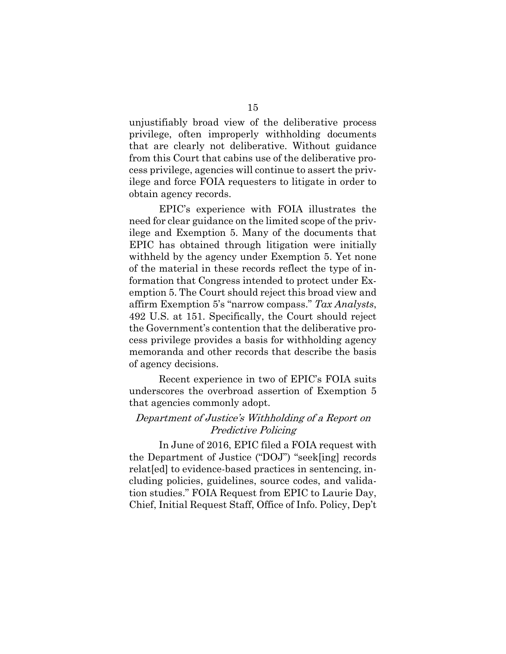unjustifiably broad view of the deliberative process privilege, often improperly withholding documents that are clearly not deliberative. Without guidance from this Court that cabins use of the deliberative process privilege, agencies will continue to assert the privilege and force FOIA requesters to litigate in order to obtain agency records.

EPIC's experience with FOIA illustrates the need for clear guidance on the limited scope of the privilege and Exemption 5. Many of the documents that EPIC has obtained through litigation were initially withheld by the agency under Exemption 5. Yet none of the material in these records reflect the type of information that Congress intended to protect under Exemption 5. The Court should reject this broad view and affirm Exemption 5's "narrow compass." *Tax Analysts*, 492 U.S. at 151. Specifically, the Court should reject the Government's contention that the deliberative process privilege provides a basis for withholding agency memoranda and other records that describe the basis of agency decisions.

Recent experience in two of EPIC's FOIA suits underscores the overbroad assertion of Exemption 5 that agencies commonly adopt.

### Department of Justice's Withholding of a Report on Predictive Policing

In June of 2016, EPIC filed a FOIA request with the Department of Justice ("DOJ") "seek[ing] records relat[ed] to evidence-based practices in sentencing, including policies, guidelines, source codes, and validation studies." FOIA Request from EPIC to Laurie Day, Chief, Initial Request Staff, Office of Info. Policy, Dep't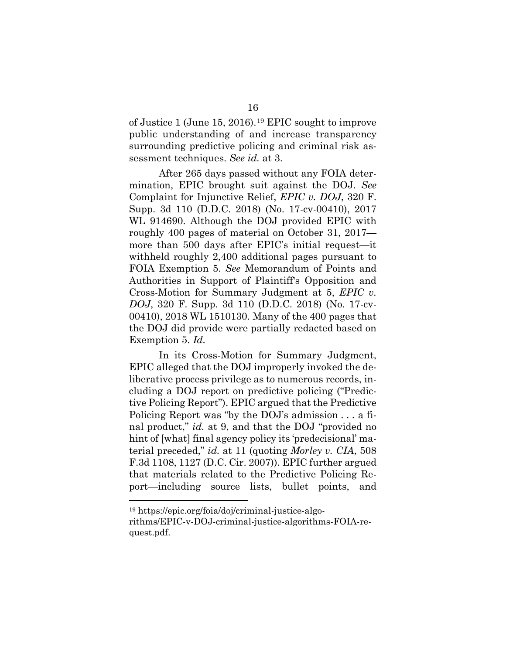of Justice 1 (June 15, 2016).[19](#page-20-0) EPIC sought to improve public understanding of and increase transparency surrounding predictive policing and criminal risk assessment techniques. *See id.* at 3.

After 265 days passed without any FOIA determination, EPIC brought suit against the DOJ. *See*  Complaint for Injunctive Relief, *EPIC v. DOJ*, 320 F. Supp. 3d 110 (D.D.C. 2018) (No. 17-cv-00410), 2017 WL 914690. Although the DOJ provided EPIC with roughly 400 pages of material on October 31, 2017 more than 500 days after EPIC's initial request—it withheld roughly 2,400 additional pages pursuant to FOIA Exemption 5. *See* Memorandum of Points and Authorities in Support of Plaintiff's Opposition and Cross-Motion for Summary Judgment at 5, *EPIC v. DOJ*, 320 F. Supp. 3d 110 (D.D.C. 2018) (No. 17-cv-00410), 2018 WL 1510130. Many of the 400 pages that the DOJ did provide were partially redacted based on Exemption 5. *Id.*

In its Cross-Motion for Summary Judgment, EPIC alleged that the DOJ improperly invoked the deliberative process privilege as to numerous records, including a DOJ report on predictive policing ("Predictive Policing Report"). EPIC argued that the Predictive Policing Report was "by the DOJ's admission . . . a final product," *id.* at 9, and that the DOJ "provided no hint of [what] final agency policy its 'predecisional' material preceded," *id.* at 11 (quoting *Morley v. CIA*, 508 F.3d 1108, 1127 (D.C. Cir. 2007)). EPIC further argued that materials related to the Predictive Policing Report—including source lists, bullet points, and

<span id="page-20-0"></span><sup>19</sup> https://epic.org/foia/doj/criminal-justice-algorithms/EPIC-v-DOJ-criminal-justice-algorithms-FOIA-request.pdf.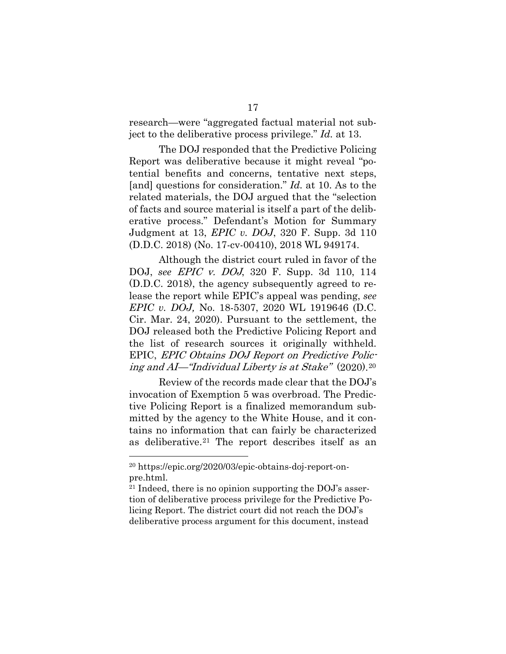research—were "aggregated factual material not subject to the deliberative process privilege." *Id.* at 13.

The DOJ responded that the Predictive Policing Report was deliberative because it might reveal "potential benefits and concerns, tentative next steps, [and] questions for consideration." *Id.* at 10. As to the related materials, the DOJ argued that the "selection of facts and source material is itself a part of the deliberative process." Defendant's Motion for Summary Judgment at 13, *EPIC v. DOJ*, 320 F. Supp. 3d 110 (D.D.C. 2018) (No. 17-cv-00410), 2018 WL 949174.

Although the district court ruled in favor of the DOJ, *see* EPIC v. DOJ, 320 F. Supp. 3d 110, 114 (D.D.C. 2018), the agency subsequently agreed to release the report while EPIC's appeal was pending, *see EPIC v. DOJ,* No. 18-5307, 2020 WL 1919646 (D.C. Cir. Mar. 24, 2020). Pursuant to the settlement, the DOJ released both the Predictive Policing Report and the list of research sources it originally withheld. EPIC, EPIC Obtains DOJ Report on Predictive Policing and AI—"Individual Liberty is at Stake" (2020).[20](#page-21-0)

Review of the records made clear that the DOJ's invocation of Exemption 5 was overbroad. The Predictive Policing Report is a finalized memorandum submitted by the agency to the White House, and it contains no information that can fairly be characterized as deliberative.[21](#page-21-1) The report describes itself as an

<span id="page-21-0"></span><sup>20</sup> https://epic.org/2020/03/epic-obtains-doj-report-onpre.html.

<span id="page-21-1"></span><sup>21</sup> Indeed, there is no opinion supporting the DOJ's assertion of deliberative process privilege for the Predictive Policing Report. The district court did not reach the DOJ's deliberative process argument for this document, instead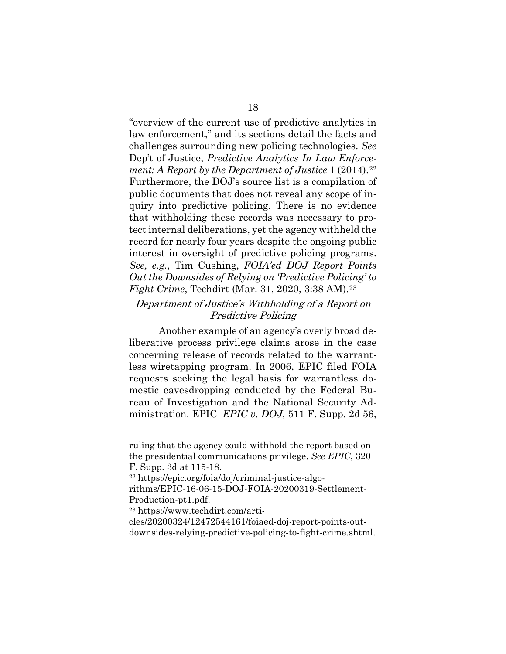"overview of the current use of predictive analytics in law enforcement," and its sections detail the facts and challenges surrounding new policing technologies. *See*  Dep't of Justice, *Predictive Analytics In Law Enforcement: A Report by the Department of Justice* 1 (2014).[22](#page-22-0) Furthermore, the DOJ's source list is a compilation of public documents that does not reveal any scope of inquiry into predictive policing. There is no evidence that withholding these records was necessary to protect internal deliberations, yet the agency withheld the record for nearly four years despite the ongoing public interest in oversight of predictive policing programs. *See, e.g.*, Tim Cushing, *FOIA'ed DOJ Report Points Out the Downsides of Relying on 'Predictive Policing' to Fight Crime*, Techdirt (Mar. 31, 2020, 3:38 AM).<sup>[23](#page-22-1)</sup>

### Department of Justice's Withholding of a Report on Predictive Policing

Another example of an agency's overly broad deliberative process privilege claims arose in the case concerning release of records related to the warrantless wiretapping program. In 2006, EPIC filed FOIA requests seeking the legal basis for warrantless domestic eavesdropping conducted by the Federal Bureau of Investigation and the National Security Administration. EPIC *EPIC v. DOJ*, 511 F. Supp. 2d 56,

ruling that the agency could withhold the report based on the presidential communications privilege. *See EPIC*, 320 F. Supp. 3d at 115-18.

<span id="page-22-0"></span><sup>22</sup> https://epic.org/foia/doj/criminal-justice-algo-

rithms/EPIC-16-06-15-DOJ-FOIA-20200319-Settlement-Production-pt1.pdf.

<span id="page-22-1"></span><sup>23</sup> https://www.techdirt.com/arti-

cles/20200324/12472544161/foiaed-doj-report-points-outdownsides-relying-predictive-policing-to-fight-crime.shtml.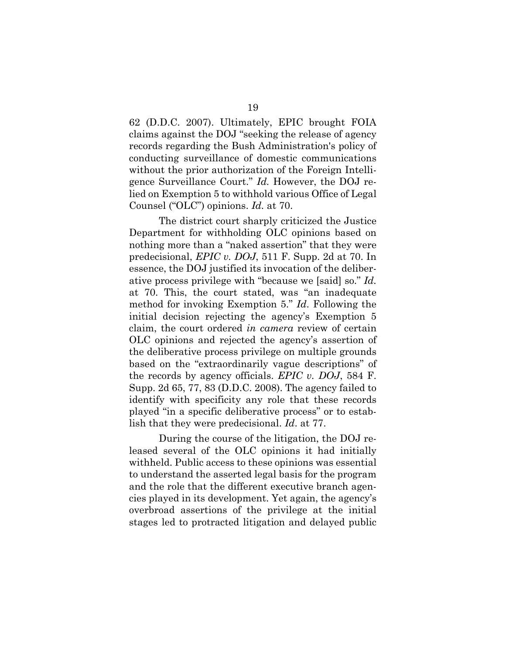62 (D.D.C. 2007). Ultimately, EPIC brought FOIA claims against the DOJ "seeking the release of agency records regarding the Bush Administration's policy of conducting surveillance of domestic communications without the prior authorization of the Foreign Intelligence Surveillance Court." *Id.* However, the DOJ relied on Exemption 5 to withhold various Office of Legal Counsel ("OLC") opinions. *Id.* at 70.

The district court sharply criticized the Justice Department for withholding OLC opinions based on nothing more than a "naked assertion" that they were predecisional, *EPIC v. DOJ*, 511 F. Supp. 2d at 70. In essence, the DOJ justified its invocation of the deliberative process privilege with "because we [said] so." *Id.*  at 70. This, the court stated, was "an inadequate method for invoking Exemption 5." *Id*. Following the initial decision rejecting the agency's Exemption 5 claim, the court ordered *in camera* review of certain OLC opinions and rejected the agency's assertion of the deliberative process privilege on multiple grounds based on the "extraordinarily vague descriptions" of the records by agency officials. *EPIC v. DOJ*, 584 F. Supp. 2d 65, 77, 83 (D.D.C. 2008). The agency failed to identify with specificity any role that these records played "in a specific deliberative process" or to establish that they were predecisional. *Id*. at 77.

During the course of the litigation, the DOJ released several of the OLC opinions it had initially withheld. Public access to these opinions was essential to understand the asserted legal basis for the program and the role that the different executive branch agencies played in its development. Yet again, the agency's overbroad assertions of the privilege at the initial stages led to protracted litigation and delayed public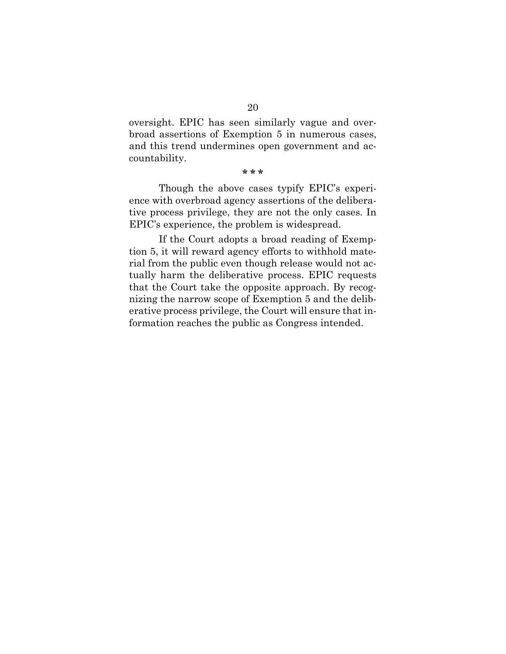oversight. EPIC has seen similarly vague and overbroad assertions of Exemption 5 in numerous cases, and this trend undermines open government and accountability.

#### **\* \* \***

Though the above cases typify EPIC's experience with overbroad agency assertions of the deliberative process privilege, they are not the only cases. In EPIC's experience, the problem is widespread.

If the Court adopts a broad reading of Exemption 5, it will reward agency efforts to withhold material from the public even though release would not actually harm the deliberative process. EPIC requests that the Court take the opposite approach. By recognizing the narrow scope of Exemption 5 and the deliberative process privilege, the Court will ensure that information reaches the public as Congress intended.